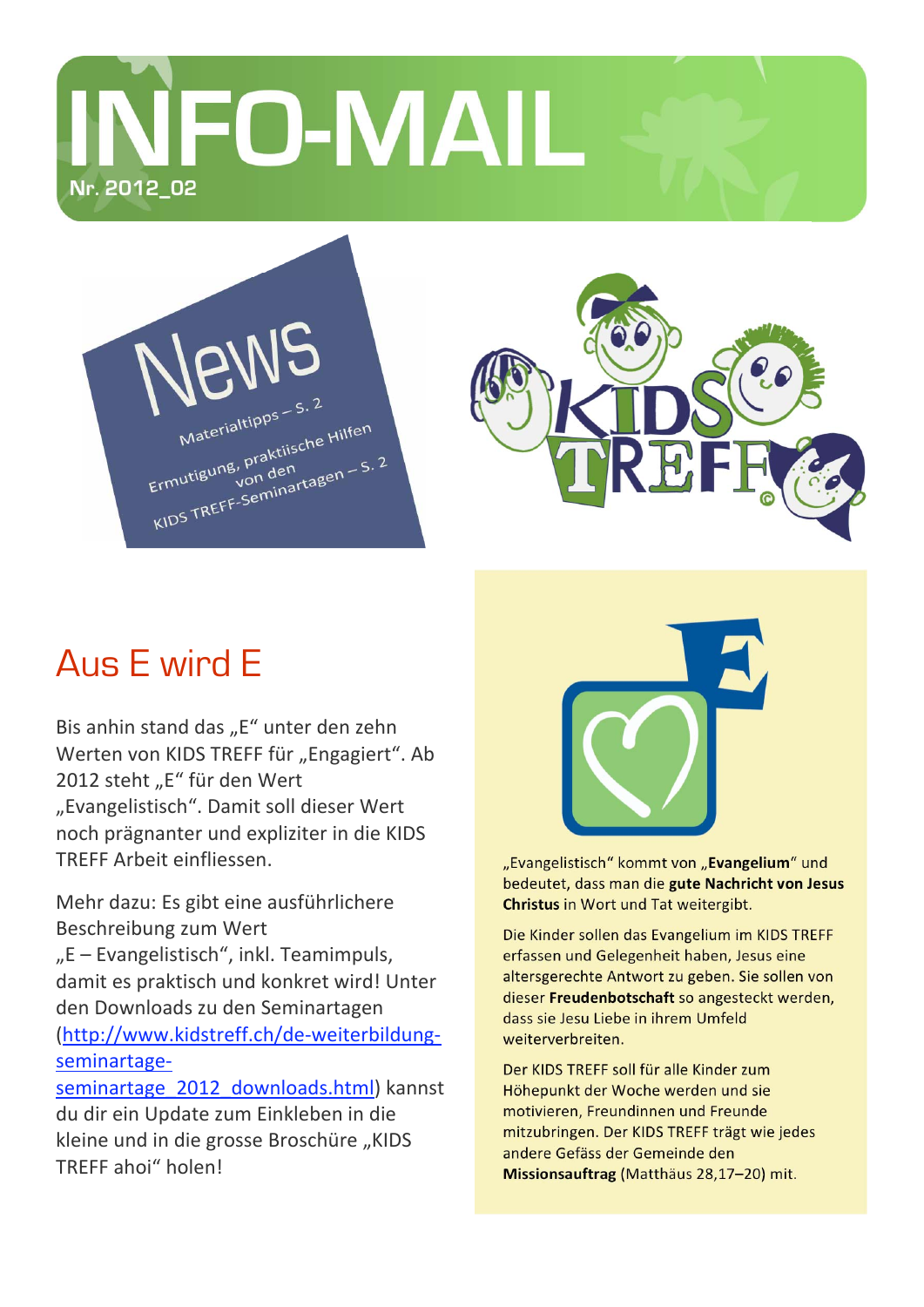**VFO-MAIL** Nr. 2012\_02





## Aus E wird E

TREFF ahoi" holen!

Bis anhin stand das "E" unter den zehn Werten von KIDS TREFF für "Engagiert". Ab 2012 steht "E" für den Wert "Evangelistisch". Damit soll dieser Wert noch prägnanter und expliziter in die KIDS TRFFF Arbeit einfliessen

Mehr dazu: Es gibt eine ausführlichere Beschreibung zum Wert "E - Evangelistisch", inkl. Teamimpuls, damit es praktisch und konkret wird! Unter den Downloads zu den Seminartagen (http://www.kidstreff.ch/de-weiterbildungseminartageseminartage 2012 downloads.html) kannst du dir ein Update zum Einkleben in die kleine und in die grosse Broschüre "KIDS



"Evangelistisch" kommt von "Evangelium" und bedeutet, dass man die gute Nachricht von Jesus Christus in Wort und Tat weitergibt.

Die Kinder sollen das Evangelium im KIDS TREFF erfassen und Gelegenheit haben, Jesus eine altersgerechte Antwort zu geben. Sie sollen von dieser Freudenbotschaft so angesteckt werden, dass sie Jesu Liebe in ihrem Umfeld weiterverbreiten.

Der KIDS TREFF soll für alle Kinder zum Höhepunkt der Woche werden und sie motivieren, Freundinnen und Freunde mitzubringen. Der KIDS TREFF trägt wie jedes andere Gefäss der Gemeinde den Missionsauftrag (Matthäus 28,17-20) mit.